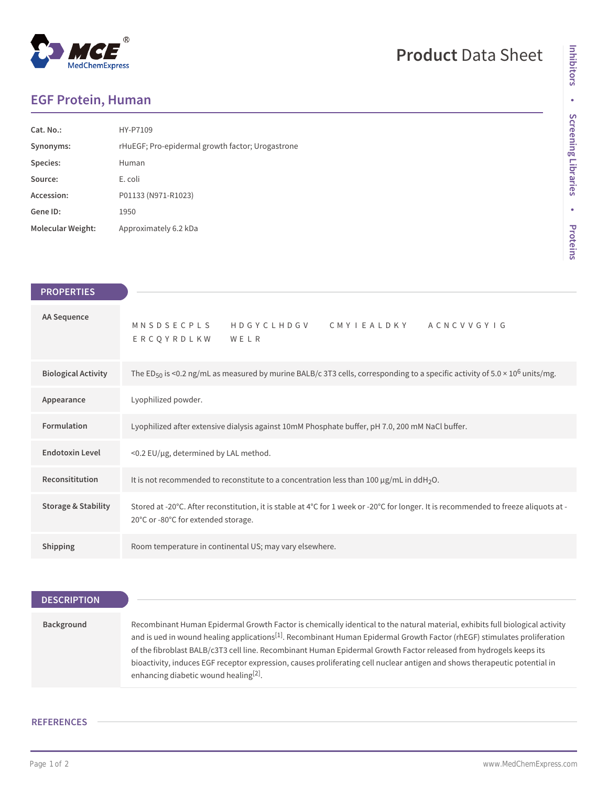## $^\circledR$ MedChemExpress

# **Product** Data Sheet

## **EGF Protein, Human**

| Cat. No.:                | HY-P7109                                         |
|--------------------------|--------------------------------------------------|
| Synonyms:                | rHuEGF; Pro-epidermal growth factor; Urogastrone |
| Species:                 | Human                                            |
| Source:                  | E. coli                                          |
| Accession:               | P01133 (N971-R1023)                              |
| Gene ID:                 | 1950                                             |
| <b>Molecular Weight:</b> | Approximately 6.2 kDa                            |

| <b>PROPERTIES</b>              |                                                                                                                                                                             |
|--------------------------------|-----------------------------------------------------------------------------------------------------------------------------------------------------------------------------|
|                                |                                                                                                                                                                             |
| AA Sequence                    | MNSDSECPLS HDGYCLHDGV CMYIEALDKY ACNCVVGYIG<br>ERCOYRDLKW WELR                                                                                                              |
| <b>Biological Activity</b>     | The ED <sub>50</sub> is <0.2 ng/mL as measured by murine BALB/c 3T3 cells, corresponding to a specific activity of 5.0 × 10 <sup>6</sup> units/mg.                          |
| Appearance                     | Lyophilized powder.                                                                                                                                                         |
| Formulation                    | Lyophilized after extensive dialysis against 10mM Phosphate buffer, pH 7.0, 200 mM NaCl buffer.                                                                             |
| <b>Endotoxin Level</b>         | <0.2 EU/µg, determined by LAL method.                                                                                                                                       |
| Reconsititution                | It is not recommended to reconstitute to a concentration less than 100 $\mu$ g/mL in ddH <sub>2</sub> O.                                                                    |
| <b>Storage &amp; Stability</b> | Stored at -20°C. After reconstitution, it is stable at 4°C for 1 week or -20°C for longer. It is recommended to freeze aliquots at -<br>20°C or -80°C for extended storage. |
| <b>Shipping</b>                | Room temperature in continental US; may vary elsewhere.                                                                                                                     |

### **DESCRIPTION**

| Background | Recombinant Human Epidermal Growth Factor is chemically identical to the natural material, exhibits full biological activity         |
|------------|--------------------------------------------------------------------------------------------------------------------------------------|
|            | and is ued in wound healing applications <sup>[1]</sup> . Recombinant Human Epidermal Growth Factor (rhEGF) stimulates proliferation |
|            | of the fibroblast BALB/c3T3 cell line. Recombinant Human Epidermal Growth Factor released from hydrogels keeps its                   |
|            | bioactivity, induces EGF receptor expression, causes proliferating cell nuclear antigen and shows therapeutic potential in           |
|            | enhancing diabetic wound healing <sup>[2]</sup> .                                                                                    |

### **REFERENCES**